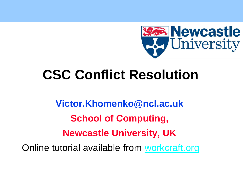

## **CSC Conflict Resolution**

**Victor.Khomenko@ncl.ac.uk School of Computing, Newcastle University, UK** Online tutorial available from [workcraft.org](http://workcraft.org/)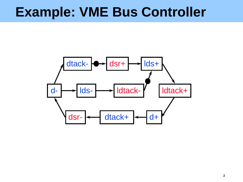#### **Example: VME Bus Controller**

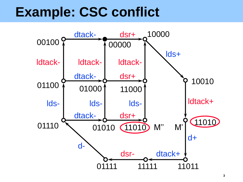### **Example: CSC conflict**

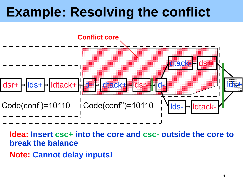

**Idea: Insert csc+ into the core and csc- outside the core to break the balance**

**Note: Cannot delay inputs!**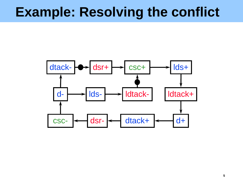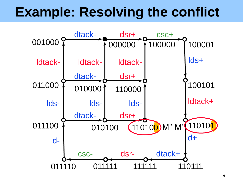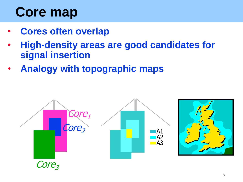# **Core map**

- **Cores often overlap**
- **High-density areas are good candidates for signal insertion**
- **Analogy with topographic maps**

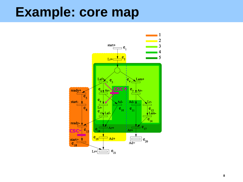#### **Example: core map**

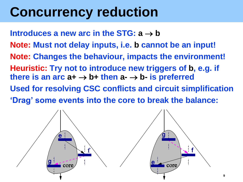### **Concurrency reduction**

**Introduces a new arc in the STG:**  $a \rightarrow b$ **Note: Must not delay inputs, i.e. b cannot be an input! Note: Changes the behaviour, impacts the environment! Heuristic: Try not to introduce new triggers of b, e.g. if there is an arc**  $a + \rightarrow b +$  **then**  $a - \rightarrow b -$  **is preferred Used for resolving CSC conflicts and circuit simplification 'Drag' some events into the core to break the balance:**

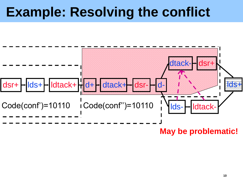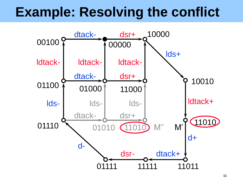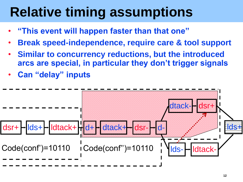## **Relative timing assumptions**

- **"This event will happen faster than that one"**
- **Break speed-independence, require care & tool support**
- **Similar to concurrency reductions, but the introduced arcs are special, in particular they don't trigger signals**
- **Can "delay" inputs**

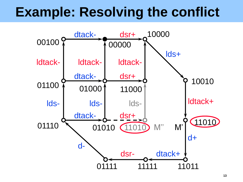